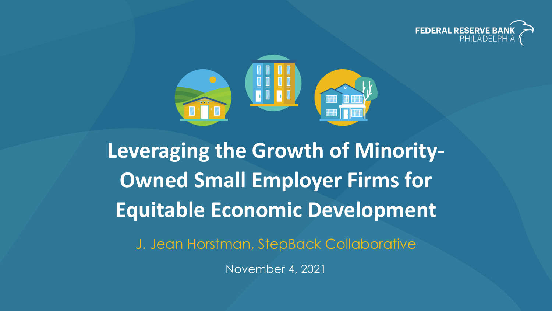



**Leveraging the Growth of Minority-Owned Small Employer Firms for Equitable Economic Development**

J. Jean Horstman, StepBack Collaborative

November 4, 2021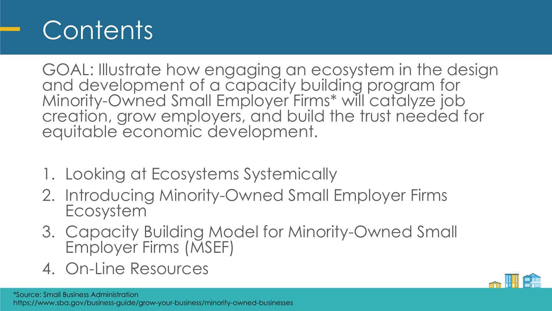#### **Contents**

GOAL: Illustrate how engaging an ecosystem in the design and development of a capacity building program for Minority-Owned Small Employer Firms\* will catalyze job creation, grow employers, and build the trust needed for equitable economic development.

- 1. Looking at Ecosystems Systemically
- 2. Introducing Minority-Owned Small Employer Firms Ecosystem
- 3. Capacity Building Model for Minority-Owned Small Employer Firms (MSEF)
- 4. On-Line Resources

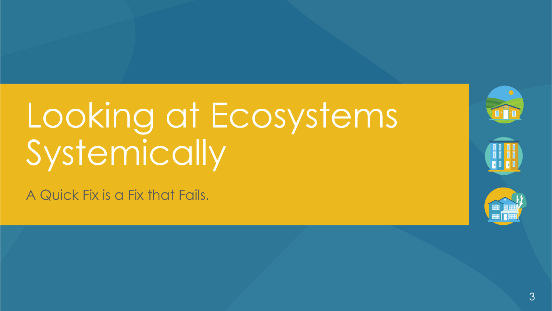# Looking at Ecosystems Systemically

A Quick Fix is a Fix that Fails.

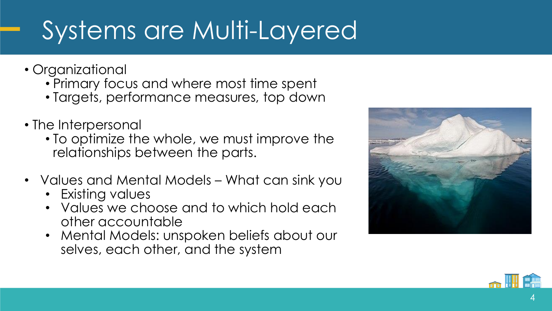## Systems are Multi-Layered

- Organizational
	- Primary focus and where most time spent
	- Targets, performance measures, top down
- The Interpersonal
	- To optimize the whole, we must improve the relationships between the parts.
- Values and Mental Models What can sink you
	- Existing values
	- Values we choose and to which hold each other accountable
	- Mental Models: unspoken beliefs about our selves, each other, and the system



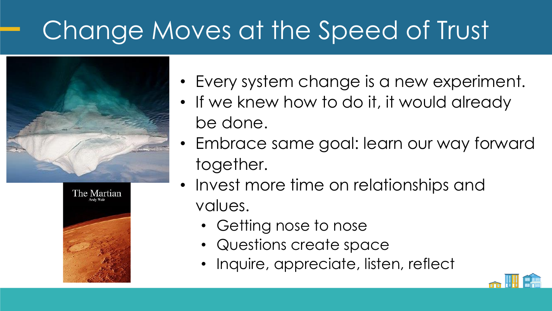## Change Moves at the Speed of Trust





- Every system change is a new experiment.
- If we knew how to do it, it would already be done.
- Embrace same goal: learn our way forward together.
- Invest more time on relationships and values.
	- Getting nose to nose
	- Questions create space
	- Inquire, appreciate, listen, reflect

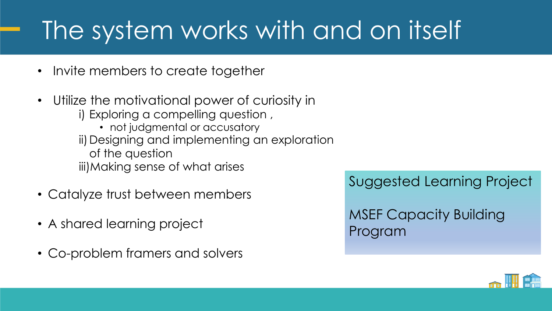### The system works with and on itself

- Invite members to create together
- Utilize the motivational power of curiosity in i) Exploring a compelling question , • not judgmental or accusatory ii) Designing and implementing an exploration of the question iii)Making sense of what arises
- Catalyze trust between members
- A shared learning project
- Co-problem framers and solvers

Suggested Learning Project

MSEF Capacity Building Program

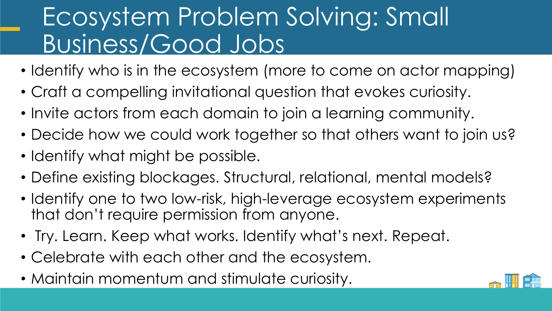#### Ecosystem Problem Solving: Small Business/Good Jobs

- Identify who is in the ecosystem (more to come on actor mapping)
- Craft a compelling invitational question that evokes curiosity.
- Invite actors from each domain to join a learning community.
- Decide how we could work together so that others want to join us?
- Identify what might be possible.
- Define existing blockages. Structural, relational, mental models?
- Identify one to two low-risk, high-leverage ecosystem experiments that don't require permission from anyone.
- Try. Learn. Keep what works. Identify what's next. Repeat.
- Celebrate with each other and the ecosystem.
- Maintain momentum and stimulate curiosity.

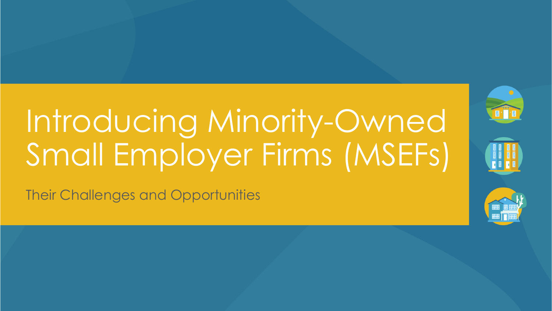# Introducing Minority-Owned Small Employer Firms (MSEFs)

Their Challenges and Opportunities

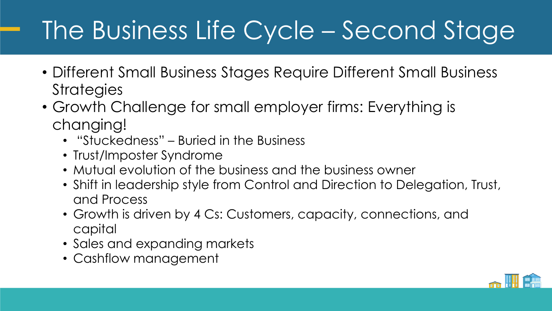## The Business Life Cycle – Second Stage

- Different Small Business Stages Require Different Small Business **Strategies**
- Growth Challenge for small employer firms: Everything is changing!
	- "Stuckedness" Buried in the Business
	- Trust/Imposter Syndrome
	- Mutual evolution of the business and the business owner
	- Shift in leadership style from Control and Direction to Delegation, Trust, and Process
	- Growth is driven by 4 Cs: Customers, capacity, connections, and capital
	- Sales and expanding markets
	- Cashflow management

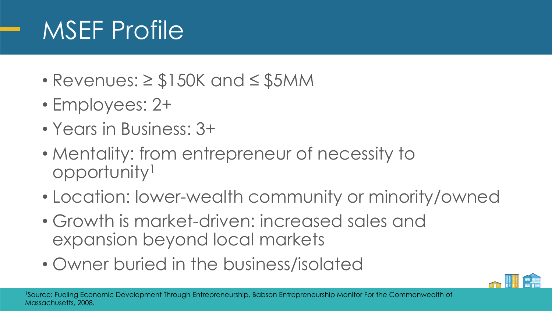### MSEF Profile

- Revenues: ≥ \$150K and ≤ \$5MM
- Employees: 2+
- Years in Business: 3+
- Mentality: from entrepreneur of necessity to opportunity<sup>1</sup>
- Location: lower-wealth community or minority/owned
- Growth is market-driven: increased sales and expansion beyond local markets
- Owner buried in the business/isolated

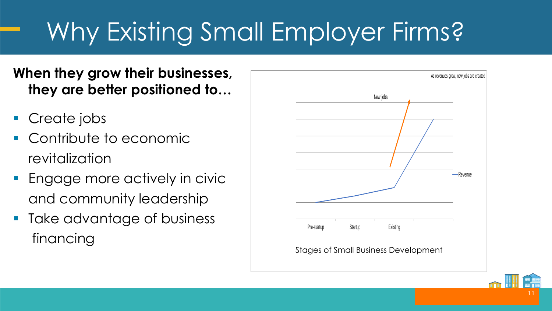## Why Existing Small Employer Firms?

**When they grow their businesses, they are better positioned to…**

- Create jobs
- Contribute to economic revitalization
- Engage more actively in civic and community leadership
- Take advantage of business financing



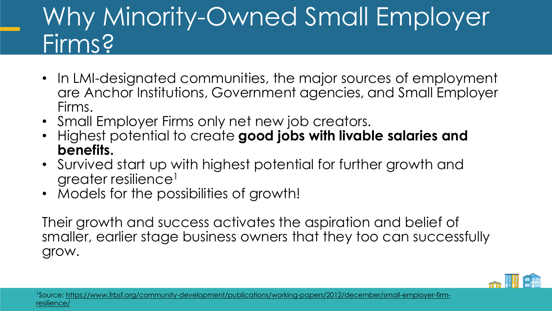#### Why Minority-Owned Small Employer Firms?

- In LMI-designated communities, the major sources of employment are Anchor Institutions, Government agencies, and Small Employer Firms.
- Small Employer Firms only net new job creators.
- Highest potential to create **good jobs with livable salaries and benefits.**
- Survived start up with highest potential for further growth and greater resilience<sup>1</sup>
- Models for the possibilities of growth!

Their growth and success activates the aspiration and belief of smaller, earlier stage business owners that they too can successfully grow.

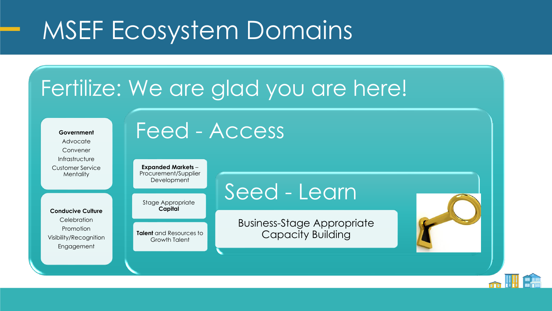#### MSEF Ecosystem Domains

#### Fertilize: We are glad you are here!

Advocate Convener Infrastructure Customer Service **Mentality Conducive Culture Celebration** Promotion Visibility/Recognition Engagement

**Government**

#### Feed - Access

**Expanded Markets** – Procurement/Supplier Development

Stage Appropriate **Capital**

**Talent** and Resources to Growth Talent

#### Seed - Learn

Business-Stage Appropriate Capacity Building

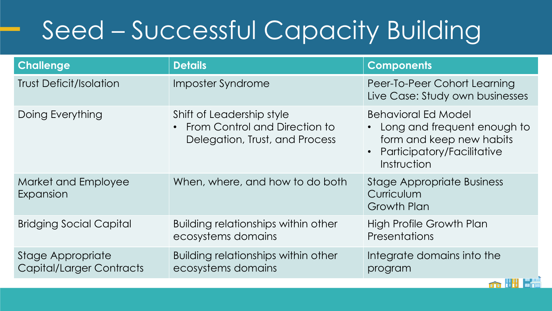## Seed – Successful Capacity Building

| <b>Challenge</b>                                     | <b>Details</b>                                                                               | <b>Components</b>                                                                                                                      |
|------------------------------------------------------|----------------------------------------------------------------------------------------------|----------------------------------------------------------------------------------------------------------------------------------------|
| <b>Trust Deficit/Isolation</b>                       | Imposter Syndrome                                                                            | Peer-To-Peer Cohort Learning<br>Live Case: Study own businesses                                                                        |
| Doing Everything                                     | Shift of Leadership style<br>From Control and Direction to<br>Delegation, Trust, and Process | <b>Behavioral Ed Model</b><br>• Long and frequent enough to<br>form and keep new habits<br>• Participatory/Facilitative<br>Instruction |
| Market and Employee<br>Expansion                     | When, where, and how to do both                                                              | <b>Stage Appropriate Business</b><br>Curriculum<br>Growth Plan                                                                         |
| <b>Bridging Social Capital</b>                       | Building relationships within other<br>ecosystems domains                                    | High Profile Growth Plan<br><b>Presentations</b>                                                                                       |
| Stage Appropriate<br><b>Capital/Larger Contracts</b> | Building relationships within other<br>ecosystems domains                                    | Integrate domains into the<br>program                                                                                                  |

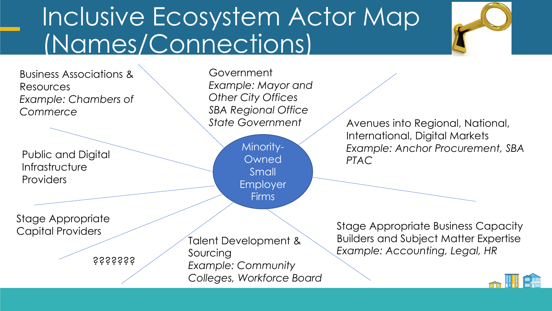#### Inclusive Ecosystem Actor Map (Names/Connections)



Business Associations & Resources *Example: Chambers of Commerce*

Public and Digital **Infrastructure** Providers

Stage Appropriate Capital Providers

???????

Government *Example: Mayor and Other City Offices SBA Regional Office*

> Minority-**Owned Small** Employer Firms

*State Government* Avenues into Regional, National, International, Digital Markets *Example: Anchor Procurement, SBA PTAC*

Talent Development & Sourcing *Example: Community Colleges, Workforce Board* Stage Appropriate Business Capacity Builders and Subject Matter Expertise *Example: Accounting, Legal, HR*

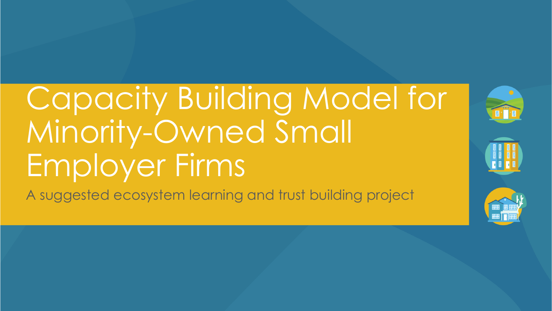# Capacity Building Model for Minority-Owned Small Employer Firms

A suggested ecosystem learning and trust building project

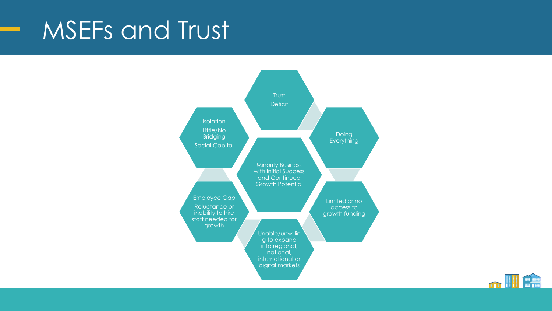#### MSEFs and Trust



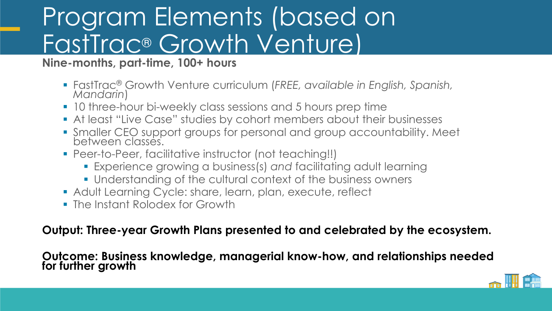#### Program Elements (based on FastTrac® Growth Venture)

**Nine-months, part-time, 100+ hours**

- FastTrac® Growth Venture curriculum (*FREE, available in English, Spanish, Mandarin*)
- 10 three-hour bi-weekly class sessions and 5 hours prep time
- **At least "Live Case" studies by cohort members about their businesses**
- Smaller CEO support groups for personal and group accountability. Meet between classes.
- Peer-to-Peer, facilitative instructor (not teaching!!)
	- Experience growing a business(s) *and* facilitating adult learning
	- **.** Understanding of the cultural context of the business owners
- **Adult Learning Cycle: share, learn, plan, execute, reflect**
- **The Instant Rolodex for Growth**

**Output: Three-year Growth Plans presented to and celebrated by the ecosystem.**

**Outcome: Business knowledge, managerial know-how, and relationships needed for further growth**

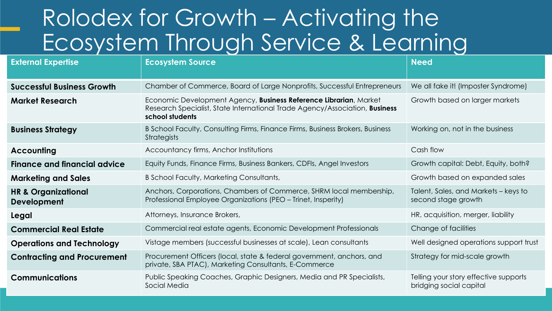#### Rolodex for Growth – Activating the Ecosystem Through Service & Learning

| <b>External Expertise</b>                            | <b>Ecosystem Source</b>                                                                                                                                             | <b>Need</b>                                                      |
|------------------------------------------------------|---------------------------------------------------------------------------------------------------------------------------------------------------------------------|------------------------------------------------------------------|
| <b>Successful Business Growth</b>                    | Chamber of Commerce, Board of Large Nonprofits, Successful Entrepreneurs                                                                                            | We all fake it! (Imposter Syndrome)                              |
| <b>Market Research</b>                               | Economic Development Agency, Business Reference Librarian, Market<br>Research Specialist, State International Trade Agency/Association, Business<br>school students | Growth based on larger markets                                   |
| <b>Business Strategy</b>                             | B School Faculty, Consulting Firms, Finance Firms, Business Brokers, Business<br><b>Strategists</b>                                                                 | Working on, not in the business                                  |
| <b>Accounting</b>                                    | Accountancy firms, Anchor Institutions                                                                                                                              | Cash flow                                                        |
| <b>Finance and financial advice</b>                  | Equity Funds, Finance Firms, Business Bankers, CDFIs, Angel Investors                                                                                               | Growth capital: Debt, Equity, both?                              |
| <b>Marketing and Sales</b>                           | B School Faculty, Marketing Consultants,                                                                                                                            | Growth based on expanded sales                                   |
| <b>HR &amp; Organizational</b><br><b>Development</b> | Anchors, Corporations, Chambers of Commerce, SHRM local membership,<br>Professional Employee Organizations (PEO – Trinet, Insperity)                                | Talent, Sales, and Markets – keys to<br>second stage growth      |
| Legal                                                | Attorneys, Insurance Brokers,                                                                                                                                       | HR, acquisition, merger, liability                               |
| <b>Commercial Real Estate</b>                        | Commercial real estate agents, Economic Development Professionals                                                                                                   | Change of facilities                                             |
| <b>Operations and Technology</b>                     | Vistage members (successful businesses at scale), Lean consultants                                                                                                  | Well designed operations support trust                           |
| <b>Contracting and Procurement</b>                   | Procurement Officers (local, state & federal government, anchors, and<br>private, SBA PTAC), Marketing Consultants, E-Commerce                                      | Strategy for mid-scale growth                                    |
| <b>Communications</b>                                | Public Speaking Coaches, Graphic Designers, Media and PR Specialists,<br>Social Media                                                                               | Telling your story effective supports<br>bridging social capital |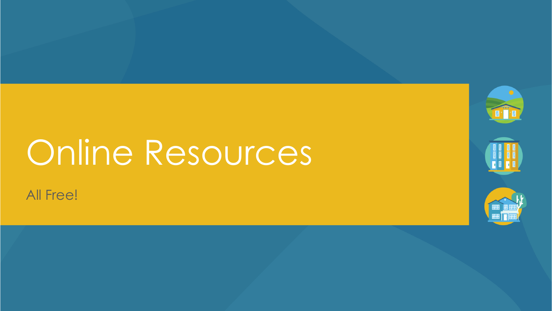# Online Resources



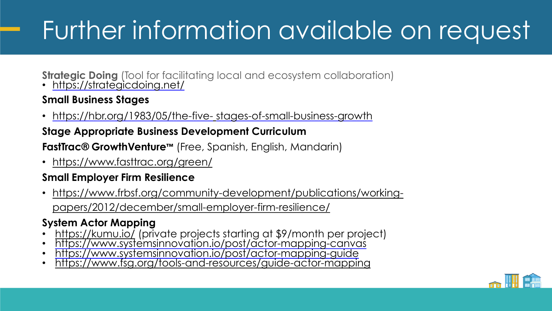## Further information available on request

**Strategic Doing** (Tool for facilitating local and ecosystem collaboration)

• <https://strategicdoing.net/>

#### **Small Business Stages**

• [https://hbr.org/1983/05/the-five-](https://hbr.org/1983/05/the-five-stages-of-small-business-growth) stages-of-small-business-growth

#### **Stage Appropriate Business Development Curriculum**

**FastTrac® GrowthVenture™** (Free, Spanish, English, Mandarin)

• <https://www.fasttrac.org/green/>

#### **Small Employer Firm Resilience**

• [https://www.frbsf.org/community-development/publications/working](https://www.frbsf.org/community-development/publications/working-papers/2012/december/small-employer-firm-resilience/)papers/2012/december/small-employer-firm-resilience/

#### **System Actor Mapping**

- <https://kumu.io/> (private projects starting at \$9/month per project)
- <https://www.systemsinnovation.io/post/actor-mapping-canvas>
- <https://www.systemsinnovation.io/post/actor-mapping-guide>
- <https://www.fsg.org/tools-and-resources/guide-actor-mapping>